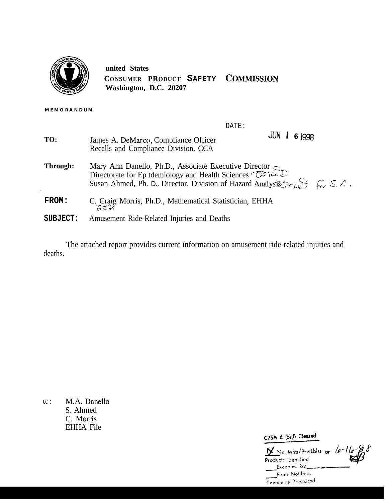

**united States CONSUMER PRODUCT SAFETY COIMMISSION Washington, D.C. 20207**

**MEMORANDUM**

.

DATE:

| TO:      | JUN<br>6 1998<br>James A. DeMarco, Compliance Officer<br>Recalls and Compliance Division, CCA                                                                                                                                                                                                       |
|----------|-----------------------------------------------------------------------------------------------------------------------------------------------------------------------------------------------------------------------------------------------------------------------------------------------------|
| Through: | Mary Ann Danello, Ph.D., Associate Executive Director Concerns Directorate for Ep tdemiology and Health Sciences $\bigcirc$ Concerns<br>Susan Ahmed, Ph. D., Director, Division of Hazard Analysts $\circ \sim$ $\circ$ $\circ$ $\circ$ $\rightarrow$ $\circ$ $\circ$ $\circ$ $\rightarrow$ $\circ$ |
| FROM:    | C. Craig Morris, Ph.D., Mathematical Statistician, EHHA                                                                                                                                                                                                                                             |
| SUBJECT: | Amusement Ride-Related Injuries and Deaths                                                                                                                                                                                                                                                          |

The attached report provides current information on amusement ride-related injuries and deaths.

 $cc:$  M.A. Danello S. Ahmed C. Morris EHHA File

CPSA 6 (b)(1) Cleared

 $N_{\rm N}$  No Mfrs/PrvtLblrs or **products !dcr;!.!icd**Firms Notified, Comments Processed.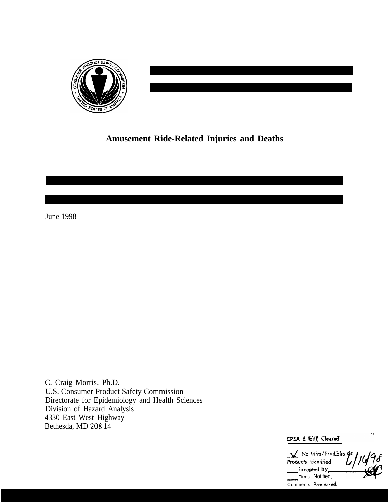

# **Amusement Ride-Related Injuries and Deaths**

June 1998

C. Craig Morris, Ph.D. U.S. Consumer Product Safety Commission Directorate for Epidemiology and Health Sciences Division of Hazard Analysis 4330 East West Highway Bethesda, MD 208 14

CPSA & (b)(1) Cleared

No Mfrs/PrvtLblrs 9 Products Identified **Executes International Conducts**<br>Products Identified<br>Excepted by Firms Notified, Comments Processed.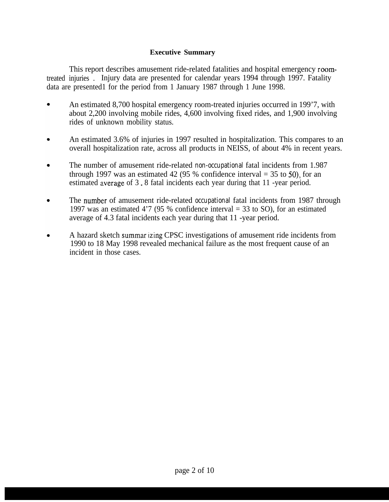## **Executive Summary**

This report describes amusement ride-related fatalities and hospital emergency roomtreated injuries . Injury data are presented for calendar years 1994 through 1997. Fatality data are presented1 for the period from 1 January 1987 through 1 June 1998.

- An estimated 8,700 hospital emergency room-treated injuries occurred in 199'7, with about 2,200 involving mobile rides, 4,600 involving fixed rides, and 1,900 involving rides of unknown mobility status.
- An estimated 3.6% of injuries in 1997 resulted in hospitalization. This compares to an overall hospitalization rate, across all products in NEISS, of about 4% in recent years.
- $\bullet$ The number of amusement ride-related *non-occupational* fatal incidents from 1.987 through 1997 was an estimated 42 (95 % confidence interval  $=$  35 to 50), for an estimated average of 3.8 fatal incidents each year during that 11 -year period.
- The number of amusement ride-related *occupational* fatal incidents from 1987 through  $\bullet$ 1997 was an estimated 4'7 (95 % confidence interval = 33 to SO), for an estimated average of 4.3 fatal incidents each year during that 11 -year period.
- A hazard sketch summar izing CPSC investigations of amusement ride incidents from 1990 to 18 May 1998 revealed mechanical failure as the most frequent cause of an incident in those cases.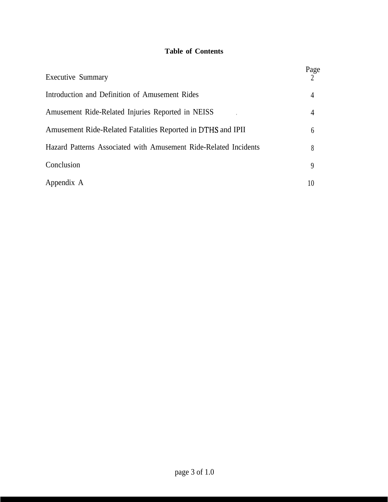## **Table of Contents**

| <b>Executive Summary</b>                                         | Page |
|------------------------------------------------------------------|------|
| Introduction and Definition of Amusement Rides                   | 4    |
| Amusement Ride-Related Injuries Reported in NEISS                | 4    |
| Amusement Ride-Related Fatalities Reported in DTHS and IPII      | 6    |
| Hazard Patterns Associated with Amusement Ride-Related Incidents | 8    |
| Conclusion                                                       | 9    |
| Appendix A                                                       | 10   |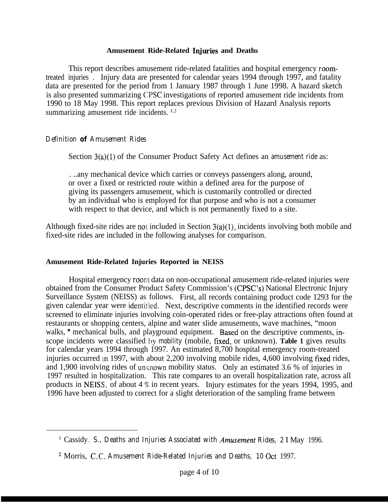#### **Amusement Ride-Related Iqjuries and Deaths**

This report describes amusement ride-related fatalities and hospital emergency roomtreated injuries . Injury data are presented for calendar years 1994 through 1997, and fatality data are presented for the period from 1 January 1987 through 1 June 1998. A hazard sketch is also presented summarizing CPSC investigations of reported amusement ride incidents from 1990 to 18 May 1998. This report replaces previous Division of Hazard Analysis reports summarizing amusement ride incidents.  $1.2$ 

#### *Definition of Amusement Rides*

Section 3(a)(l) of the Consumer Product Safety Act defines an *amusement ride* as:

. ..any mechanical device which carries or conveys passengers along, around, or over a fixed or restricted route within a defined area for the purpose of giving its passengers amusement, which is customarily controlled or directed by an individual who is employed for that purpose and who is not a consumer with respect to that device, and which is not permanently fixed to a site.

Although fixed-site rides are not included in Section  $3(a)(1)$ , incidents involving both mobile and fixed-site rides are included in the following analyses for comparison.

#### **Amusement Ride-Related Injuries Reported in NEISS**

Hospital emergency room data on non-occupational amusement ride-related injuries were obtained from the Consumer Product Safety Commission's (CPSC's) National Electronic Injury Surveillance System (NEISS) as follows. First, all records containing product code 1293 for the given calendar year were identified. Next, descriptive comments in the identified records were screened to eliminate injuries involving coin-operated rides or free-play attractions often found at restaurants or shopping centers, alpine and water slide amusements, wave machines, "moon walks, " mechanical bulls, and playground equipment. Based on the descriptive comments, inscope incidents were classified *t)y mobility* (mobile, fixed, or unknown). **Table 1** gives results for calendar years 1994 through 1997. An estimated 8,700 hospital emergency room-treated injuries occurred in 1997, with about  $2,200$  involving mobile rides,  $4,600$  involving fixed rides, and 1,900 involving rides of unknown mobility status. Only an estimated 3.6 % of injuries in 1997 resulted in hospitalization. This rate compares to an overall hospitalization rate, across all products in NEISS, of about 4  $\%$  in recent years. Injury estimates for the years 1994, 1995, and 1996 have been adjusted to correct for a slight deterioration of the sampling frame between

<sup>&</sup>lt;sup>1</sup> Cassidy, *S., Deaths and Injuries Associated with Amusement Rides, 21 May 1996.* 

<sup>2</sup> Morris, *CC. Amusement Ride-Related Injuries and Deaths, 10* Ott 1997.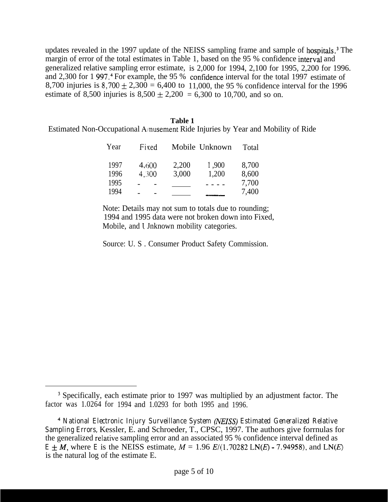updates revealed in the 1997 update of the NEISS sampling frame and sample of hospitals.<sup>3</sup> The margin of error of the total estimates in Table 1, based on the 95 % confidence interval and generalized relative sampling error estimate, is 2,000 for 1994, 2,100 for 1995, 2,200 for 1996. and 2,300 for 1 997.<sup>4</sup> For example, the 95 % confidence interval for the total 1997 estimate of 8,700 injuries is  $8,700 \pm 2,300 = 6,400$  to 11,000, the 95 % confidence interval for the 1996 estimate of 8,500 injuries is  $8,500 \pm 2,200 = 6,300$  to 10,700, and so on.

#### **Table 1**

Estimated Non-Occupational Afnusement Ride Injuries by Year and Mobility of Ride

| Year                 | Fixed          |                | Mobile Unknown | Total          |
|----------------------|----------------|----------------|----------------|----------------|
| 1997<br>1996<br>1995 | 4,600<br>4.300 | 2,200<br>3,000 | 1,900<br>1,200 | 8,700<br>8,600 |
| 1994                 |                |                |                | 7,700<br>7,400 |

Note: Details may not sum to totals due to rounding; 1994 and 1995 data were not broken down into Fixed, Mobile, and Unknown mobility categories.

Source: U. S . Consumer Product Safety Commission.

<sup>&</sup>lt;sup>3</sup> Specifically, each estimate prior to 1997 was multiplied by an adjustment factor. The factor was 1.0264 for 1994 and 1.0293 for both 1995 and 1996.

<sup>&</sup>lt;sup>4</sup> National Electronic Injury Surveillance System (NEISS) Estimated Generalized Relative *Sampling Errors,* Kessler, E. and Schroeder, T., CPSC, 1997. The authors give forrnulas for the generalized relative sampling error and an associated 95 % confidence interval defined as  $E \pm M$ , where *E* is the NEISS estimate,  $M = 1.96 E/(1.70282 \text{ LN}(E) - 7.94958)$ , and LN(*E*) is the natural log of the estimate E.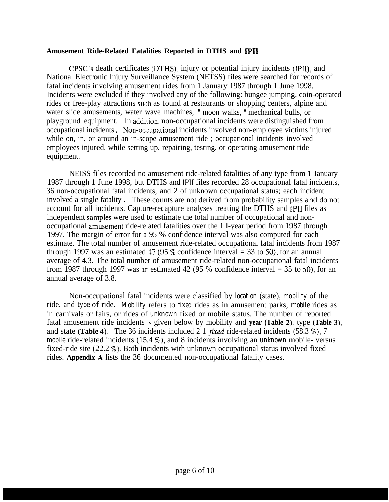#### **Amusement Ride-Related Fatalities Reported in DTHS and IPII**

CPSC's death certificates (DTHS), injury or potential injury incidents (IPII), and National Electronic Injury Surveillance System (NETSS) files were searched for records of fatal incidents involving amusernent rides from 1 January 1987 through 1 June 1998. Incidents were excluded if they involved any of the following: bungee jumping, coin-operated rides or free-play attractions such as found at restaurants or shopping centers, alpine and water slide amusements, water wave machines, " moon walks, " mechanical bulls, or playground equipment. In addition, non-occupational incidents were distinguished from occupational incidents. Non-occupational incidents involved non-employee victims injured while on, in, or around an in-scope amusement ride ; occupational incidents involved employees injured. while setting up, repairing, testing, or operating amusement ride equipment.

NEISS files recorded no amusement ride-related fatalities of any type from 1 January 1987 through 1 June 1998, but DTHS and IPII files recorded 28 occupational fatal incidents, 36 non-occupational fatal incidents, and 2 of unknown occupational status; each incident involved a single fatality . These counts are not derived from probability samples and do not account for all incidents. Capture-recapture analyses treating the DTHS and IPII files as independent samples were used to estimate the total number of occupational and nonoccupational amusement ride-related fatalities over the 1 l-year period from 1987 through 1997. The margin of error for a 95 % confidence interval was also computed for each estimate. The total number of amusement ride-related occupational fatal incidents from 1987 through 1997 was an estimated 47 (95 % confidence interval  $=$  33 to 50), for an annual average of 4.3. The total number of amusement ride-related non-occupational fatal incidents from 1987 through 1997 was an estimated 42 (95 % confidence interval  $=$  35 to 50), for an annual average of 3.8.

Non-occupational fatal incidents were classified by *location* (state), *mobility* of the ride, and *type* of ride. *Mobility* refers to *fixed* rides as in amusement parks, *mobile* rides as in carnivals or fairs, or rides of *unknown* fixed or mobile status. The number of reported fatal amusement ride incidents i:; given below by mobility and **year (Table 2),** type **(Table 3),** and state (Table 4). The 36 incidents included  $2\ 1$  *fixed* ride-related incidents (58.3 %), 7 *mobile* ride-related incidents (15.4 %), and 8 incidents involving an *unknown* mobile- versus fixed-ride site (22.2 %). Both incidents with unknown occupational status involved fixed rides. **Appendix A** lists the 36 documented non-occupational fatality cases.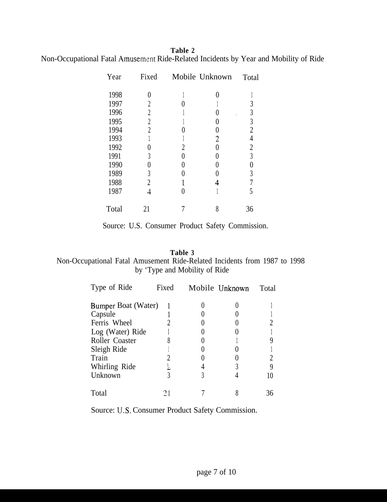## **Table 2** Non-Occupational Fatal Amusement Ride-Related Incidents by Year and Mobility of Ride

| Year  | Fixed          |   | Mobile Unknown | Total          |
|-------|----------------|---|----------------|----------------|
| 1998  |                |   |                |                |
| 1997  | 2              |   |                | 3              |
| 1996  | $\overline{2}$ |   |                | 3              |
| 1995  | 2              |   |                | $\mathfrak{Z}$ |
| 1994  | $\overline{c}$ |   |                | $\overline{2}$ |
| 1993  |                |   | 2              | 4              |
| 1992  |                | 2 |                | $\overline{2}$ |
| 1991  | 3              |   |                | 3              |
| 1990  |                |   |                |                |
| 1989  | 3              |   |                | 3              |
| 1988  | $\overline{2}$ |   |                |                |
| 1987  | 4              |   |                | 5              |
| Total | 21             |   | 8              | 36             |

Source: U.S. Consumer Product Safety Commission.

# **Table 3**

# Non-Occupational Fatal Amusement Ride-Related Incidents from 1987 to 1998 by 'Type and Mobility of Ride

| Type of Ride        | Fixed | Mobile Unknown | Total |
|---------------------|-------|----------------|-------|
| Bumper Boat (Water) |       |                |       |
| Capsule             |       |                |       |
| Ferris Wheel        |       |                |       |
| Log (Water) Ride    |       |                |       |
| Roller Coaster      |       |                |       |
| Sleigh Ride         |       |                |       |
| Train               |       |                |       |
| Whirling Ride       | 2     |                |       |
| Unknown             |       |                |       |
| Total               |       |                |       |

Source: U.S. Consumer Product Safety Commission.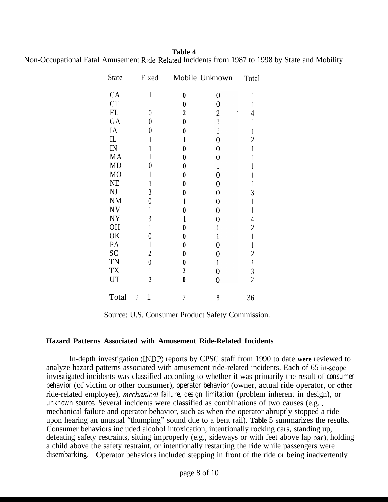**Table 4**

Non-Occupational Fatal Amusement R:de-Related Incidents from 1987 to 1998 by State and Mobility

| <b>State</b>   | F xed            |                  | Mobile Unknown   | Total          |
|----------------|------------------|------------------|------------------|----------------|
| CA             |                  | $\boldsymbol{0}$ | 0                |                |
| <b>CT</b>      |                  | $\bf{0}$         | $\boldsymbol{0}$ | 1              |
| FL             | 0                | $\boldsymbol{2}$ | $\overline{c}$   | $\overline{4}$ |
| GA             | 0                | $\boldsymbol{0}$ | $\mathbf{1}$     | 1              |
| IA             | $\pmb{0}$        | $\boldsymbol{0}$ | $\mathbf{1}$     | 1              |
| IL             |                  | l                | 0                | $\overline{2}$ |
| IN             | 1                | 0                | 0                | $\mathbb{I}$   |
| MA             |                  | $\bf{0}$         | 0                |                |
| MD             | 0                | $\boldsymbol{0}$ | $\mathbf 1$      |                |
| M <sub>O</sub> |                  | $\boldsymbol{0}$ | $\overline{0}$   | 1              |
| <b>NE</b>      | 1                | 0                | $\mathbf 0$      | 1              |
| NJ             | 3                | $\bf{0}$         | $\boldsymbol{0}$ | 3              |
| <b>NM</b>      | $\theta$         | l                | $\boldsymbol{0}$ |                |
| <b>NV</b>      | 1                | 0                | $\mathbf 0$      | $\mathbb{I}$   |
| <b>NY</b>      | $\mathfrak{Z}$   | l                | $\overline{0}$   | 4              |
| <b>OH</b>      | $\mathbf{1}$     | 0                | 1                | $\overline{c}$ |
| 0K             | $\boldsymbol{0}$ | 0                | 1                | $\mathbbm{1}$  |
| PA             | $\mathbf{1}$     | 0                | 0                | $\mathbb{I}$   |
| SC             | $\boldsymbol{2}$ | $\boldsymbol{0}$ | $\overline{0}$   | $\overline{c}$ |
| <b>TN</b>      | $\boldsymbol{0}$ | $\boldsymbol{0}$ | $\mathbf{1}$     | $\mathbf{1}$   |
| <b>TX</b>      | $\mathbf{1}$     | $\boldsymbol{2}$ | 0                | $\mathfrak{Z}$ |
| UT             | $\overline{2}$   | $\pmb{0}$        | $\overline{0}$   | $\overline{2}$ |
| Total          | $\mathbf 1$<br>2 | 7                | 8                | 36             |

Source: U.S. Consumer Product Safety Commission.

#### **Hazard Patterns Associated with Amusement Ride-Related Incidents**

In-depth investigation (INDP) reports by CPSC staff from 1990 to date **were** reviewed to analyze hazard patterns associated with amusement ride-related incidents. Each of 65 in-scope investigated incidents was classified according to whether it was primarily the result of *consumer behavior* (of victim or other consumer), *operator behavior* (owner, actual ride operator, or other ride-related employee), *mechanical failure*, *design limitation* (problem inherent in design), or *unknown source.* Several incidents were classified as combinations of two causes (e.g. ., mechanical failure and operator behavior, such as when the operator abruptly stopped a ride upon hearing an unusual "thumping" sound due to a bent rail). **Table** 5 summarizes the results. Consumer behaviors included alcohol intoxication, intentionally rocking cars, standing up, defeating safety restraints, sitting improperly (e.g., sideways or with feet above lap bar), holding a child above the safety restraint, or intentionally restarting the ride while passengers were disembarking. Operator behaviors included stepping in front of the ride or being inadvertently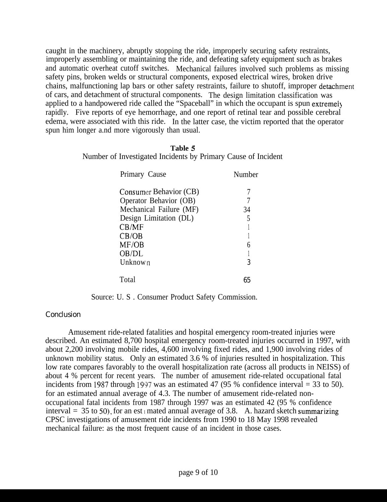caught in the machinery, abruptly stopping the ride, improperly securing safety restraints, improperly assembling or maintaining the ride, and defeating safety equipment such as brakes and automatic overheat cutoff switches. Mechanical failures involved such problems as missing safety pins, broken welds or structural components, exposed electrical wires, broken drive chains, malfunctioning lap bars or other safety restraints, failure to shutoff, improper detachment of cars, and detachment of structural components. The design limitation classification was applied to a handpowered ride called the "Spaceball" in which the occupant is spun extremely rapidly. Five reports of eye hemorrhage, and one report of retinal tear and possible cerebral edema, were associated with this ride. In the latter case, the victim reported that the operator spun him longer a.nd more vigorously than usual.

| Table 5                                                       |  |
|---------------------------------------------------------------|--|
| Number of Investigated Incidents by Primary Cause of Incident |  |

| Primary Cause           | Number |
|-------------------------|--------|
| Consumer Behavior (CB)  |        |
| Operator Behavior (OB)  |        |
| Mechanical Failure (MF) | 34     |
| Design Limitation (DL)  |        |
| CB/MF                   |        |
| CB/OB                   |        |
| MF/OB                   |        |
| OB/DL                   |        |
| Unknown                 | 3      |
| Total                   | 65     |

Source: U. S . Consumer Product Safety Commission.

## **Conclusion**

Amusement ride-related fatalities and hospital emergency room-treated injuries were described. An estimated 8,700 hospital emergency room-treated injuries occurred in 1997, with about 2,200 involving mobile rides, 4,600 involving fixed rides, and 1,900 involving rides of unknown mobility status. Only an estimated 3.6 % of injuries resulted in hospitalization. This low rate compares favorably to the overall hospitalization rate (across all products in NEISS) of about 4 % percent for recent years. The number of amusement ride-related occupational fatal incidents from 1987 through 1997 was an estimated 47 (95 % confidence interval  $=$  33 to 50). for an estimated annual average of 4.3. The number of amusement ride-related nonoccupational fatal incidents from 1987 through 1997 was an estimated 42 (95 % confidence interval = 35 to 50), for an est mated annual average of 3.8. A. hazard sketch summarizing CPSC investigations of amusement ride incidents from 1990 to 18 May 1998 revealed mechanical failure: as the most frequent cause of an incident in those cases.